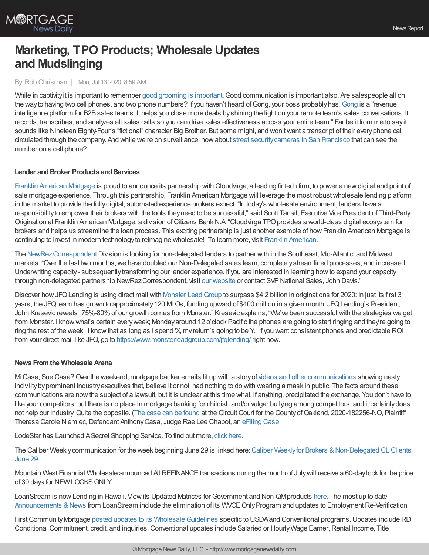

# **Marketing, TPO Products; Wholesale Updates and Mudslinging**

### By:Rob Chrisman | Mon, Jul 13 2020, 8:59 AM

While in captivity it is important to remember good [grooming](https://www.youtube.com/watch?v=k-vdvan8Xnw) is important. Good communication is important also. Are salespeople all on the way to having two cell phones, and two phone numbers? If you haven't heard of [Gong](https://www.gong.io/), your boss probably has. Gong is a "revenue intelligence platform for B2B sales teams. It helps you close more deals by shining the light on your remote team's sales conversations. It records, transcribes, and analyzes all sales calls so you can drive sales effectiveness across your entire team." Far be it from me to sayit sounds like Nineteen Eighty-Four's "fictional" character Big Brother. But some might, and won'twant a transcript of their everyphone call circulated through the company. And while we're on surveillance, howabout street [securitycameras](https://www.nytimes.com/2020/07/10/business/camera-surveillance-san-francisco.html) in San Francisco that can see the number on a cell phone?

## **Lender** and **Broker Products** and **Services**

Franklin [American](http://www.franklinamerican.com/) Mortgage is proud to announce its partnership with Cloudvirga, a leading fintech firm, to power a newdigital and point of sale mortgage experience. Through this partnership, Franklin American Mortgage will leverage the most robust wholesale lending platform in the market to provide the fullydigital, automated experience brokers expect. "In today's wholesale environment, lenders have a responsibilityto empower their brokers with the tools theyneed to be successful," said Scott Tansil, Executive Vice President of Third-Party Origination at Franklin American Mortgage, a division of Citizens Bank N.A. "Cloudvirga TPO provides a world-class digital ecosystem for brokers and helps us streamline the loan process. This exciting partnership is just another example of how Franklin American Mortgage is continuing to invest in modern technology to reimagine wholesale!" To learn more, visit Franklin [American.](http://www.franklinamerican.com/)

The NewRez Correspondent Division is looking for non-delegated lenders to partner with in the Southeast, Mid-Atlantic, and Midwest markets. "Over the last two months, we have doubled our Non-Delegated sales team, completely streamlined processes, and increased Underwriting capacity- subsequentlytransforming our lender experience. If you are interested in learning howto expand your capacity through non-delegated partnership NewRez Correspondent, visit our [website](https://www.newrezcorrespondent.com/) or contact SVP National Sales, John Davis."

Discover how JFQ Lending is using direct mail with Monster Lead Group to surpass \$4.2 billion in originations for 2020: In just its first 3 years, the JFQ team has grown to approximately 120 MLOs, funding upward of \$400 million in a given month. JFQ Lending's President, John Kresevic reveals "75%-80%of our growth comes from Monster." Kresevic explains, "We've been successful with the strategies we get from Monster. I knowwhat's certain everyweek; Mondayaround 12 o'clock Pacific the phones are going to start ringing and they're going to ring the rest of the week. I knowthat as long as I spend 'X, myreturn's going to be Y." If you want consistent phones and predictable ROI from your direct mail like JFQ, go to <https://www.monsterleadgroup.com/jfqlending/> right now.

## **News Fromthe Wholesale Arena**

Mi Casa, Sue Casa?Over the weekend, mortgage banker emails lit up with a storyof videos and other [communications](https://www.themortgagenote.org/mortgage-trade-group-ceo-sends-lewd-misogynistic-texts-to-rival/) showing nasty incivilitybyprominent industryexecutives that, believe it or not, had nothing to do with wearing a mask in public. The facts around these communications are nowthe subject of a lawsuit, but it is unclear at this time what, if anything, precipitated the exchange. You don't have to like your competitors, but there is no place in mortgage banking for childish and/or vulgar bullying among competitors, and it certainlydoes not help our industry. Quite the opposite. (The case can be [found](https://www.scribd.com/document/468941200/Circuit-Court-for-the-County-of-Oakland-MI) at the Circuit Court for the County of Oakland, 2020-182256-NO, Plaintiff Theresa Carole Niemiec, Defendant Anthony Casa, Judge Rae Lee Chabot, an [eFiling](http://www.oakgov.com/efiling) Case.

LodeStar has Launched ASecret Shopping Service. To find out more, click [here.](https://wuin.campaign-view.com/ua/viewinbrowser?od=27218d28c96aa859eee33a8357ff5c6231185630859ca1fd0&rd=17a40822cd4e2b25&sd=17a40822cd4e11b1&n=11699e4c25a45e9&mrd=17a40822cd4e119d&m=1)

The Caliber Weekly communication for the week beginning June 29 is linked here: Caliber Weekly for Brokers & Non-Delegated CL Clients June 29.

Mountain West Financial Wholesale announced All REFINANCE transactions during the month of Julywill receive a 60-daylock for the price of 30 days for NEW LOCKS ONLY.

LoanStream is now Lending in Hawaii. View its Updated Matrices for Government and Non-QM products [here](https://loanstreamwholesale.com/programs/?utm_campaign=New%20Broker%20Aquisition&utm_medium=email&_hsmi=90692300&_hsenc=p2ANqtz-_tEDpCmdXBeVwPA-SaDEy5pca2UN-resL376wxDW3w99_tnDo3OAceIWx4KLNNZ4PtMih1Kx1i_OZX5e4FyjhlU8a2hT0tWDUd-ikgzE4iGvUwTpM&utm_content=90692300&utm_source=hs_email). The most up to date [Announcements](https://loanstreamwholesale.com/news/?utm_campaign=New%20Broker%20Aquisition&utm_medium=email&_hsmi=89815678&_hsenc=p2ANqtz--GNWkqjvo83z6CfVho0xuq273fEwmFIH3jk06jV3vQpymud2gAtLA2fxS487LxGI6FPK637gtLUiEulL_wK-bcO0dJTzFZRbdBx1jaKd4ZlWXw6Qk&utm_content=89534322&utm_source=hs_email) & News from LoanStream include the elimination of its WVOE Only Program and updates to Employment Re-Verification

First Community Mortgage posted updates to its Wholesale Guidelines specific to USDA and Conventional programs. Updates include RD Conditional Commitment, credit, and inquiries. Conventional updates include Salaried or Hourly Wage Earner, Rental Income, Title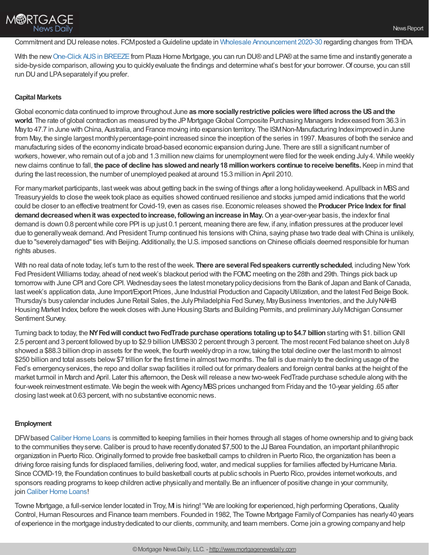

Commitment and DUrelease notes. FCMposted aGuideline update in Wholesale [Announcement](https://kc.fcmpartners.com/wp-content/uploads/2020/06/2020-30-Wholesale-Announcements.pdf) 2020-30 regarding changes from THDA.

With the new [One-Click](https://f.hubspotusercontent10.net/hubfs/5238866/BREEZEQSG_One%20Click%20AUS_0620.pdf?utm_campaign=Wholesale%20News%20%252B%20Updates&utm_medium=email&_hsmi=90913776&_hsenc=p2ANqtz--XCUdrFFSp_NB38Zof2NrNa3-SkeTQYlEm6fLGYHwy598Tzzw9LcqcOJtdFafJaKU6NrVQvy0kMAbubDmABLLPA4DRov6LIsGr3p36zl41_7x9FLw&utm_content=90913776&utm_source=hs_email) AUS in BREEZE from Plaza Home Mortgage, you can run DU® and LPA® at the same time and instantly generate a side-by-side comparison, allowing you to quickly evaluate the findings and determine what's best for your borrower. Of course, you can still run DU and LPA separately if you prefer.

## **Capital Markets**

Global economic data continued to improve throughout June **as more sociallyrestrictive policieswere liftedacross the USandthe** world. The rate of global contraction as measured by the JP Mortgage Global Composite Purchasing Managers Indexeased from 36.3 in Mayto 47.7 in June with China, Australia, and France moving into expansion territory. The ISMNon-Manufacturing Indeximproved in June from May, the single largest monthly percentage-point increased since the inception of the series in 1997. Measures of both the service and manufacturing sides of the economyindicate broad-based economic expansion during June. There are still a significant number of workers, however, who remain out of a job and 1.3 million new claims for unemployment were filed for the week ending July 4. While weekly newclaims continue to fall, **the pace of decline has slowedandnearly18 millionworkers continue toreceive benefits.** Keep in mind that during the last recession, the number of unemployed peaked at around 15.3 million in April 2010.

For many market participants, last week was about getting back in the swing of things after a long holiday weekend. Apullback in MBS and Treasuryyields to close the week took place as equities showed continued resilience and stocks jumped amid indications that the world could be closer to an effective treatment for Covid-19, even as cases rise. Economic releases showed the **Producer Price Index for final demanddecreasedwhenitwas expectedtoincrease, followinganincrease inMay.**On a year-over-year basis, the indexfor final demand is down 0.8 percent while core PPI is up just 0.1 percent, meaning there are few, if any, inflation pressures at the producer level due to generallyweak demand. And President Trump continued his tensions with China, saying phase two trade deal with China is unlikely, due to "severely damaged" ties with Beijing. Additionally, the U.S. imposed sanctions on Chinese officials deemed responsible for human rights abuses.

With no real data of note today, let's turn to the rest of the week. **There are several Fedspeakers currentlyscheduled**, including NewYork Fed President Williams today, ahead of nextweek's blackout period with the FOMC meeting on the 28th and 29th. Things pick back up tomorrow with June CPI and Core CPI. Wednesday sees the latest monetary policy decisions from the Bank of Japan and Bank of Canada, last week's application data, June Import/Export Prices, June Industrial Production and Capacity Utilization, and the latest Fed Beige Book. Thursday's busycalendar includes June Retail Sales, the JulyPhiladelphia Fed Survey, MayBusiness Inventories, and the JulyNAHB Housing Market Index, before the week closes with June Housing Starts and Building Permits, and preliminary July Michigan Consumer Sentiment Survey.

Turning back to today, the **NYFedwill conduct twoFedTrade purchase operations totalingupto\$4.7 billion**starting with \$1. billionGNII 2.5 percent and 3 percent followed byup to \$2.9 billion UMBS30 2 percent through 3 percent. The most recent Fed balance sheet on July8 showed a \$88.3 billion drop in assets for the week, the fourth weeklydrop in a row, taking the total decline over the last month to almost \$250 billion and total assets below \$7 trillion for the first time in almost two months. The fall is due mainly to the declining usage of the Fed's emergencyservices, the repo and dollar swap facilities it rolled out for primarydealers and foreign central banks at the height of the market turmoil in March and April. Later this afternoon, the Deskwill release a newtwo-week FedTrade purchase schedule along with the four-week reinvestment estimate. We begin the week with Agency MBS prices unchanged from Friday and the 10-year yielding .65 after closing last week at 0.63 percent, with no substantive economic news.

## **Employment**

DFWbased [Caliber](https://recruiting.adp.com/srccar/public/RTI.home?d=ExternalCaliberHomeLoans&_icx=v02Pg0E8dry77as%252F53w4AJaa70NZw%252Fw8fF8hbFO1EF85wLt9DxjYJuzTaiz3cC3bUG0&c=1060341&_dissimuloSSO=k81IQ_xGY14:XQC7YMN_-Mx6DdXOyW3KVTQohAw) Home Loans is committed to keeping families in their homes through all stages of home ownership and to giving back to the communities they serve. Caliber is proud to have recently donated \$7,500 to the JJ Barea Foundation, an important philanthropic organization in Puerto Rico.Originallyformed to provide free basketball camps to children in Puerto Rico, the organization has been a driving force raising funds for displaced families, delivering food,water, and medical supplies for families affected byHurricane Maria. Since COVID-19, the Foundation continues to build basketball courts at public schools in Puerto Rico, provides internetworkouts, and sponsors reading programs to keep children active physicallyand mentally. Be an influencer of positive change in your community, join [Caliber](https://recruiting.adp.com/srccar/public/RTI.home?d=ExternalCaliberHomeLoans&_icx=v02Pg0E8dry77as%252F53w4AJaa70NZw%252Fw8fF8hbFO1EF85wLt9DxjYJuzTaiz3cC3bUG0&c=1060341&_dissimuloSSO=k81IQ_xGY14:XQC7YMN_-Mx6DdXOyW3KVTQohAw) Home Loans!

Towne Mortgage, a full-service lender located in Troy, M is hiring! "We are looking for experienced, high performing Operations, Quality Control, Human Resources and Finance team members. Founded in 1982, The Towne Mortgage Family of Companies has nearly 40 years of experience in the mortgage industrydedicated to our clients, community, and team members.Come join a growing companyand help